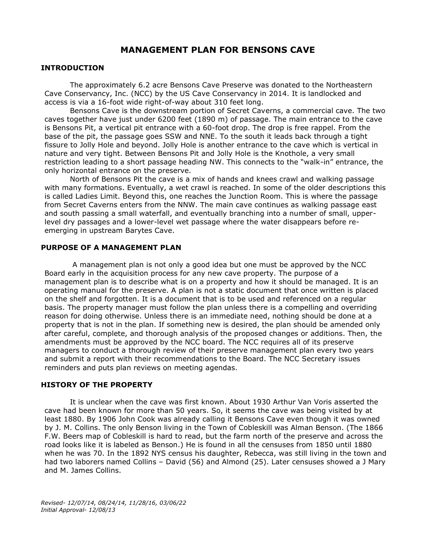# **MANAGEMENT PLAN FOR BENSONS CAVE**

### **INTRODUCTION**

The approximately 6.2 acre Bensons Cave Preserve was donated to the Northeastern Cave Conservancy, Inc. (NCC) by the US Cave Conservancy in 2014. It is landlocked and access is via a 16-foot wide right-of-way about 310 feet long.

Bensons Cave is the downstream portion of Secret Caverns, a commercial cave. The two caves together have just under 6200 feet (1890 m) of passage. The main entrance to the cave is Bensons Pit, a vertical pit entrance with a 60-foot drop. The drop is free rappel. From the base of the pit, the passage goes SSW and NNE. To the south it leads back through a tight fissure to Jolly Hole and beyond. Jolly Hole is another entrance to the cave which is vertical in nature and very tight. Between Bensons Pit and Jolly Hole is the Knothole, a very small restriction leading to a short passage heading NW. This connects to the "walk-in" entrance, the only horizontal entrance on the preserve.

North of Bensons Pit the cave is a mix of hands and knees crawl and walking passage with many formations. Eventually, a wet crawl is reached. In some of the older descriptions this is called Ladies Limit. Beyond this, one reaches the Junction Room. This is where the passage from Secret Caverns enters from the NNW. The main cave continues as walking passage east and south passing a small waterfall, and eventually branching into a number of small, upperlevel dry passages and a lower-level wet passage where the water disappears before reemerging in upstream Barytes Cave.

### **PURPOSE OF A MANAGEMENT PLAN**

A management plan is not only a good idea but one must be approved by the NCC Board early in the acquisition process for any new cave property. The purpose of a management plan is to describe what is on a property and how it should be managed. It is an operating manual for the preserve. A plan is not a static document that once written is placed on the shelf and forgotten. It is a document that is to be used and referenced on a regular basis. The property manager must follow the plan unless there is a compelling and overriding reason for doing otherwise. Unless there is an immediate need, nothing should be done at a property that is not in the plan. If something new is desired, the plan should be amended only after careful, complete, and thorough analysis of the proposed changes or additions. Then, the amendments must be approved by the NCC board. The NCC requires all of its preserve managers to conduct a thorough review of their preserve management plan every two years and submit a report with their recommendations to the Board. The NCC Secretary issues reminders and puts plan reviews on meeting agendas.

### **HISTORY OF THE PROPERTY**

It is unclear when the cave was first known. About 1930 Arthur Van Voris asserted the cave had been known for more than 50 years. So, it seems the cave was being visited by at least 1880. By 1906 John Cook was already calling it Bensons Cave even though it was owned by J. M. Collins. The only Benson living in the Town of Cobleskill was Alman Benson. (The 1866 F.W. Beers map of Cobleskill is hard to read, but the farm north of the preserve and across the road looks like it is labeled as Benson.) He is found in all the censuses from 1850 until 1880 when he was 70. In the 1892 NYS census his daughter, Rebecca, was still living in the town and had two laborers named Collins – David (56) and Almond (25). Later censuses showed a J Mary and M. James Collins.

*Revised- 12/07/14, 08/24/14, 11/28/16, 03/06/22 Initial Approval- 12/08/13*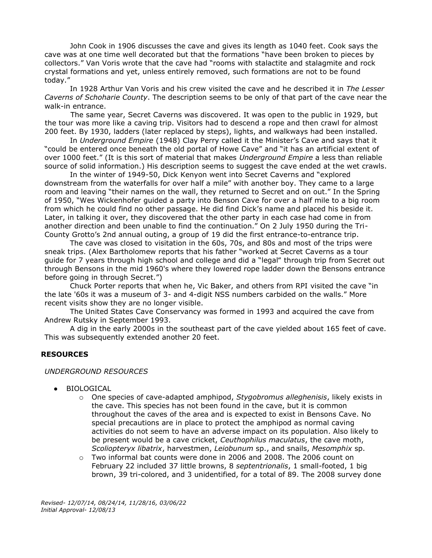John Cook in 1906 discusses the cave and gives its length as 1040 feet. Cook says the cave was at one time well decorated but that the formations "have been broken to pieces by collectors." Van Voris wrote that the cave had "rooms with stalactite and stalagmite and rock crystal formations and yet, unless entirely removed, such formations are not to be found today."

In 1928 Arthur Van Voris and his crew visited the cave and he described it in *The Lesser Caverns of Schoharie County*. The description seems to be only of that part of the cave near the walk-in entrance.

The same year, Secret Caverns was discovered. It was open to the public in 1929, but the tour was more like a caving trip. Visitors had to descend a rope and then crawl for almost 200 feet. By 1930, ladders (later replaced by steps), lights, and walkways had been installed.

In *Underground Empire* (1948) Clay Perry called it the Minister's Cave and says that it "could be entered once beneath the old portal of Howe Cave" and "it has an artificial extent of over 1000 feet." (It is this sort of material that makes *Underground Empire* a less than reliable source of solid information.) His description seems to suggest the cave ended at the wet crawls.

In the winter of 1949-50, Dick Kenyon went into Secret Caverns and "explored downstream from the waterfalls for over half a mile" with another boy. They came to a large room and leaving "their names on the wall, they returned to Secret and on out." In the Spring of 1950, "Wes Wickenhofer guided a party into Benson Cave for over a half mile to a big room from which he could find no other passage. He did find Dick's name and placed his beside it. Later, in talking it over, they discovered that the other party in each case had come in from another direction and been unable to find the continuation." On 2 July 1950 during the Tri-County Grotto's 2nd annual outing, a group of 19 did the first entrance-to-entrance trip.

The cave was closed to visitation in the 60s, 70s, and 80s and most of the trips were sneak trips. (Alex Bartholomew reports that his father "worked at Secret Caverns as a tour guide for 7 years through high school and college and did a "legal" through trip from Secret out through Bensons in the mid 1960's where they lowered rope ladder down the Bensons entrance before going in through Secret.")

Chuck Porter reports that when he, Vic Baker, and others from RPI visited the cave "in the late '60s it was a museum of 3- and 4-digit NSS numbers carbided on the walls." More recent visits show they are no longer visible.

The United States Cave Conservancy was formed in 1993 and acquired the cave from Andrew Rutsky in September 1993.

A dig in the early 2000s in the southeast part of the cave yielded about 165 feet of cave. This was subsequently extended another 20 feet.

### **RESOURCES**

#### *UNDERGROUND RESOURCES*

- BIOLOGICAL
	- o One species of cave-adapted amphipod, *Stygobromus alleghenisis*, likely exists in the cave. This species has not been found in the cave, but it is common throughout the caves of the area and is expected to exist in Bensons Cave. No special precautions are in place to protect the amphipod as normal caving activities do not seem to have an adverse impact on its population. Also likely to be present would be a cave cricket, *Ceuthophilus maculatus*, the cave moth, *Scoliopteryx libatrix*, harvestmen, *Leiobunum* sp., and snails, *Mesomphix* sp.
	- o Two informal bat counts were done in 2006 and 2008. The 2006 count on February 22 included 37 little browns, 8 *septentrionalis*, 1 small-footed, 1 big brown, 39 tri-colored, and 3 unidentified, for a total of 89. The 2008 survey done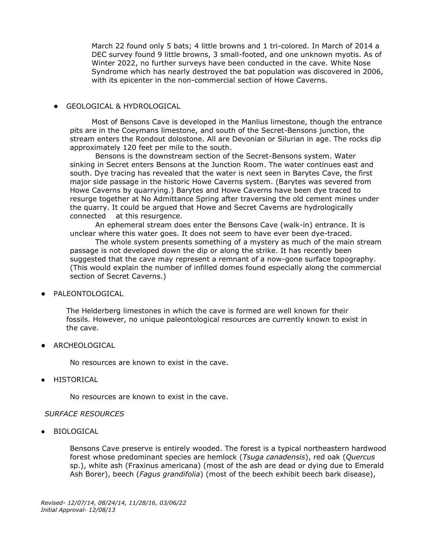March 22 found only 5 bats; 4 little browns and 1 tri-colored. In March of 2014 a DEC survey found 9 little browns, 3 small-footed, and one unknown myotis. As of Winter 2022, no further surveys have been conducted in the cave. White Nose Syndrome which has nearly destroyed the bat population was discovered in 2006, with its epicenter in the non-commercial section of Howe Caverns.

### ● GEOLOGICAL & HYDROLOGICAL

Most of Bensons Cave is developed in the Manlius limestone, though the entrance pits are in the Coeymans limestone, and south of the Secret-Bensons junction, the stream enters the Rondout dolostone. All are Devonian or Silurian in age. The rocks dip approximately 120 feet per mile to the south.

Bensons is the downstream section of the Secret-Bensons system. Water sinking in Secret enters Bensons at the Junction Room. The water continues east and south. Dye tracing has revealed that the water is next seen in Barytes Cave, the first major side passage in the historic Howe Caverns system. (Barytes was severed from Howe Caverns by quarrying.) Barytes and Howe Caverns have been dye traced to resurge together at No Admittance Spring after traversing the old cement mines under the quarry. It could be argued that Howe and Secret Caverns are hydrologically connected at this resurgence.

An ephemeral stream does enter the Bensons Cave (walk-in) entrance. It is unclear where this water goes. It does not seem to have ever been dye-traced.

The whole system presents something of a mystery as much of the main stream passage is not developed down the dip or along the strike. It has recently been suggested that the cave may represent a remnant of a now-gone surface topography. (This would explain the number of infilled domes found especially along the commercial section of Secret Caverns.)

● PALEONTOLOGICAL

The Helderberg limestones in which the cave is formed are well known for their fossils. However, no unique paleontological resources are currently known to exist in the cave.

● ARCHEOLOGICAL

No resources are known to exist in the cave.

● HISTORICAL

No resources are known to exist in the cave.

### *SURFACE RESOURCES*

● BIOLOGICAL

Bensons Cave preserve is entirely wooded. The forest is a typical northeastern hardwood forest whose predominant species are hemlock (*Tsuga canadensis*), red oak (*Quercus*  sp.), white ash (Fraxinus americana) (most of the ash are dead or dying due to Emerald Ash Borer), beech (*Fagus grandifolia*) (most of the beech exhibit beech bark disease),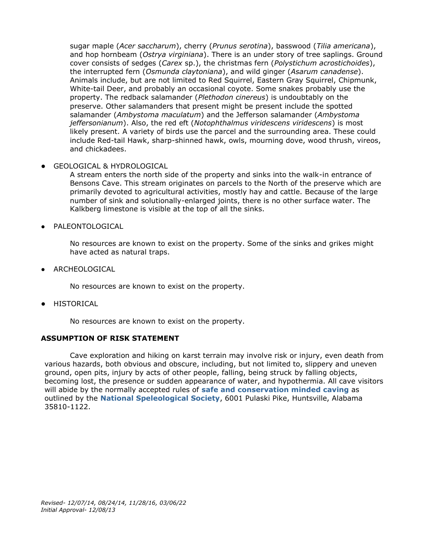sugar maple (*Acer saccharum*), cherry (*Prunus serotina*), basswood (*Tilia americana*), and hop hornbeam (*Ostrya virginiana*). There is an under story of tree saplings. Ground cover consists of sedges (*Carex* sp.), the christmas fern (*Polystichum acrostichoides*), the interrupted fern (*Osmunda claytoniana*), and wild ginger (*Asarum canadense*). Animals include, but are not limited to Red Squirrel, Eastern Gray Squirrel, Chipmunk, White-tail Deer, and probably an occasional coyote. Some snakes probably use the property. The redback salamander (*Plethodon cinereus*) is undoubtably on the preserve. Other salamanders that present might be present include the spotted salamander (*Ambystoma maculatum*) and the Jefferson salamander (*Ambystoma jeffersonianum*). Also, the red eft (*Notophthalmus viridescens viridescens*) is most likely present. A variety of birds use the parcel and the surrounding area. These could include Red-tail Hawk, sharp-shinned hawk, owls, mourning dove, wood thrush, vireos, and chickadees.

GEOLOGICAL & HYDROLOGICAL

A stream enters the north side of the property and sinks into the walk-in entrance of Bensons Cave. This stream originates on parcels to the North of the preserve which are primarily devoted to agricultural activities, mostly hay and cattle. Because of the large number of sink and solutionally-enlarged joints, there is no other surface water. The Kalkberg limestone is visible at the top of all the sinks.

● PALEONTOLOGICAL

No resources are known to exist on the property. Some of the sinks and grikes might have acted as natural traps.

● ARCHEOLOGICAL

No resources are known to exist on the property.

● HISTORICAL

No resources are known to exist on the property.

## **ASSUMPTION OF RISK STATEMENT**

Cave exploration and hiking on karst terrain may involve risk or injury, even death from various hazards, both obvious and obscure, including, but not limited to, slippery and uneven ground, open pits, injury by acts of other people, falling, being struck by falling objects, becoming lost, the presence or sudden appearance of water, and hypothermia. All cave visitors will abide by the normally accepted rules of **[safe and conservation minded caving](http://www.caves.org/brochure/NSS%20Guide%20Color%20809.pdf)** as outlined by the **[National Speleological Society](http://www.caves.org/)**, 6001 Pulaski Pike, Huntsville, Alabama 35810-1122.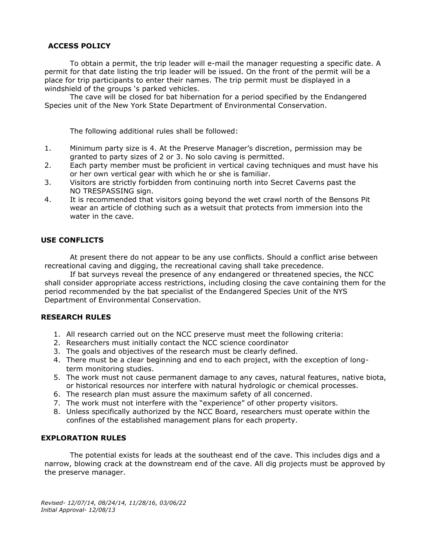## **ACCESS POLICY**

To obtain a permit, the trip leader will e-mail the manager requesting a specific date. A permit for that date listing the trip leader will be issued. On the front of the permit will be a place for trip participants to enter their names. The trip permit must be displayed in a windshield of the groups 's parked vehicles.

The cave will be closed for bat hibernation for a period specified by the Endangered Species unit of the New York State Department of Environmental Conservation.

The following additional rules shall be followed:

- 1. Minimum party size is 4. At the Preserve Manager's discretion, permission may be granted to party sizes of 2 or 3. No solo caving is permitted.
- 2. Each party member must be proficient in vertical caving techniques and must have his or her own vertical gear with which he or she is familiar.
- 3. Visitors are strictly forbidden from continuing north into Secret Caverns past the NO TRESPASSING sign.
- 4. It is recommended that visitors going beyond the wet crawl north of the Bensons Pit wear an article of clothing such as a wetsuit that protects from immersion into the water in the cave.

## **USE CONFLICTS**

At present there do not appear to be any use conflicts. Should a conflict arise between recreational caving and digging, the recreational caving shall take precedence.

If bat surveys reveal the presence of any endangered or threatened species, the NCC shall consider appropriate access restrictions, including closing the cave containing them for the period recommended by the bat specialist of the Endangered Species Unit of the NYS Department of Environmental Conservation.

### **RESEARCH RULES**

- 1. All research carried out on the NCC preserve must meet the following criteria:
- 2. Researchers must initially contact the NCC science coordinator
- 3. The goals and objectives of the research must be clearly defined.
- 4. There must be a clear beginning and end to each project, with the exception of longterm monitoring studies.
- 5. The work must not cause permanent damage to any caves, natural features, native biota, or historical resources nor interfere with natural hydrologic or chemical processes.
- 6. The research plan must assure the maximum safety of all concerned.
- 7. The work must not interfere with the "experience" of other property visitors.
- 8. Unless specifically authorized by the NCC Board, researchers must operate within the confines of the established management plans for each property.

## **EXPLORATION RULES**

The potential exists for leads at the southeast end of the cave. This includes digs and a narrow, blowing crack at the downstream end of the cave. All dig projects must be approved by the preserve manager.

*Revised- 12/07/14, 08/24/14, 11/28/16, 03/06/22 Initial Approval- 12/08/13*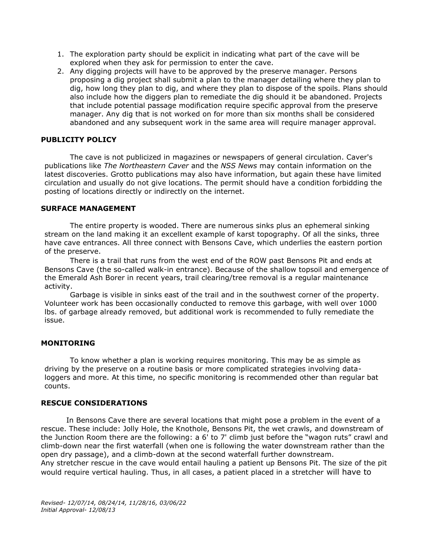- 1. The exploration party should be explicit in indicating what part of the cave will be explored when they ask for permission to enter the cave.
- 2. Any digging projects will have to be approved by the preserve manager. Persons proposing a dig project shall submit a plan to the manager detailing where they plan to dig, how long they plan to dig, and where they plan to dispose of the spoils. Plans should also include how the diggers plan to remediate the dig should it be abandoned. Projects that include potential passage modification require specific approval from the preserve manager. Any dig that is not worked on for more than six months shall be considered abandoned and any subsequent work in the same area will require manager approval.

## **PUBLICITY POLICY**

The cave is not publicized in magazines or newspapers of general circulation. Caver's publications like *The Northeastern Caver* and the *NSS News* may contain information on the latest discoveries. Grotto publications may also have information, but again these have limited circulation and usually do not give locations. The permit should have a condition forbidding the posting of locations directly or indirectly on the internet.

## **SURFACE MANAGEMENT**

The entire property is wooded. There are numerous sinks plus an ephemeral sinking stream on the land making it an excellent example of karst topography. Of all the sinks, three have cave entrances. All three connect with Bensons Cave, which underlies the eastern portion of the preserve.

There is a trail that runs from the west end of the ROW past Bensons Pit and ends at Bensons Cave (the so-called walk-in entrance). Because of the shallow topsoil and emergence of the Emerald Ash Borer in recent years, trail clearing/tree removal is a regular maintenance activity.

Garbage is visible in sinks east of the trail and in the southwest corner of the property. Volunteer work has been occasionally conducted to remove this garbage, with well over 1000 lbs. of garbage already removed, but additional work is recommended to fully remediate the issue.

## **MONITORING**

To know whether a plan is working requires monitoring. This may be as simple as driving by the preserve on a routine basis or more complicated strategies involving dataloggers and more. At this time, no specific monitoring is recommended other than regular bat counts.

## **RESCUE CONSIDERATIONS**

In Bensons Cave there are several locations that might pose a problem in the event of a rescue. These include: Jolly Hole, the Knothole, Bensons Pit, the wet crawls, and downstream of the Junction Room there are the following: a 6' to 7' climb just before the "wagon ruts" crawl and climb-down near the first waterfall (when one is following the water downstream rather than the open dry passage), and a climb-down at the second waterfall further downstream. Any stretcher rescue in the cave would entail hauling a patient up Bensons Pit. The size of the pit would require vertical hauling. Thus, in all cases, a patient placed in a stretcher will have to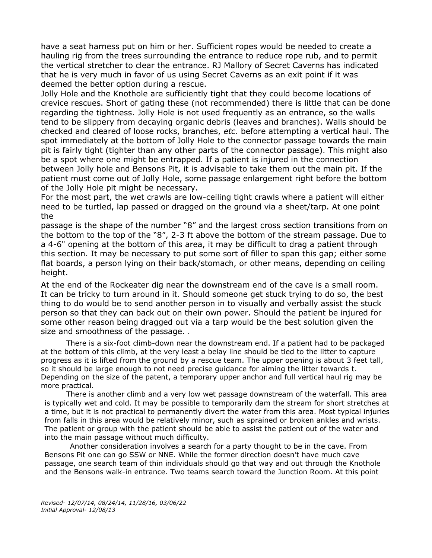have a seat harness put on him or her. Sufficient ropes would be needed to create a hauling rig from the trees surrounding the entrance to reduce rope rub, and to permit the vertical stretcher to clear the entrance. RJ Mallory of Secret Caverns has indicated that he is very much in favor of us using Secret Caverns as an exit point if it was deemed the better option during a rescue.

Jolly Hole and the Knothole are sufficiently tight that they could become locations of crevice rescues. Short of gating these (not recommended) there is little that can be done regarding the tightness. Jolly Hole is not used frequently as an entrance, so the walls tend to be slippery from decaying organic debris (leaves and branches). Walls should be checked and cleared of loose rocks, branches, *etc.* before attempting a vertical haul. The spot immediately at the bottom of Jolly Hole to the connector passage towards the main pit is fairly tight (tighter than any other parts of the connector passage). This might also be a spot where one might be entrapped. If a patient is injured in the connection between Jolly hole and Bensons Pit, it is advisable to take them out the main pit. If the patient must come out of Jolly Hole, some passage enlargement right before the bottom of the Jolly Hole pit might be necessary.

For the most part, the wet crawls are low-ceiling tight crawls where a patient will either need to be turtled, lap passed or dragged on the ground via a sheet/tarp. At one point the

passage is the shape of the number "8" and the largest cross section transitions from on the bottom to the top of the "8", 2-3 ft above the bottom of the stream passage. Due to a 4-6" opening at the bottom of this area, it may be difficult to drag a patient through this section. It may be necessary to put some sort of filler to span this gap; either some flat boards, a person lying on their back/stomach, or other means, depending on ceiling height.

At the end of the Rockeater dig near the downstream end of the cave is a small room. It can be tricky to turn around in it. Should someone get stuck trying to do so, the best thing to do would be to send another person in to visually and verbally assist the stuck person so that they can back out on their own power. Should the patient be injured for some other reason being dragged out via a tarp would be the best solution given the size and smoothness of the passage. .

There is a six-foot climb-down near the downstream end. If a patient had to be packaged at the bottom of this climb, at the very least a belay line should be tied to the litter to capture progress as it is lifted from the ground by a rescue team. The upper opening is about 3 feet tall, so it should be large enough to not need precise guidance for aiming the litter towards t. Depending on the size of the patent, a temporary upper anchor and full vertical haul rig may be more practical.

There is another climb and a very low wet passage downstream of the waterfall. This area is typically wet and cold. It may be possible to temporarily dam the stream for short stretches at a time, but it is not practical to permanently divert the water from this area. Most typical injuries from falls in this area would be relatively minor, such as sprained or broken ankles and wrists. The patient or group with the patient should be able to assist the patient out of the water and into the main passage without much difficulty.

Another consideration involves a search for a party thought to be in the cave. From Bensons Pit one can go SSW or NNE. While the former direction doesn't have much cave passage, one search team of thin individuals should go that way and out through the Knothole and the Bensons walk-in entrance. Two teams search toward the Junction Room. At this point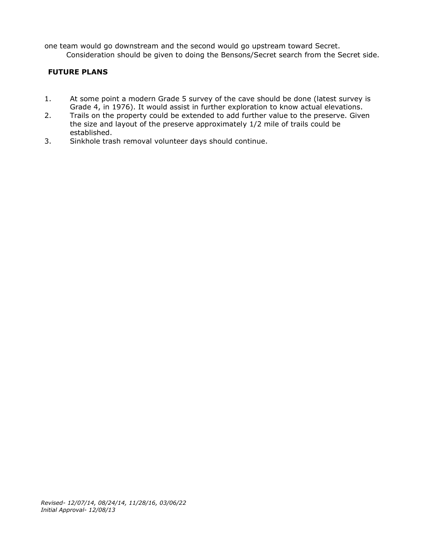one team would go downstream and the second would go upstream toward Secret. Consideration should be given to doing the Bensons/Secret search from the Secret side.

## **FUTURE PLANS**

- 1. At some point a modern Grade 5 survey of the cave should be done (latest survey is Grade 4, in 1976). It would assist in further exploration to know actual elevations.
- 2. Trails on the property could be extended to add further value to the preserve. Given the size and layout of the preserve approximately 1/2 mile of trails could be established.
- 3. Sinkhole trash removal volunteer days should continue.